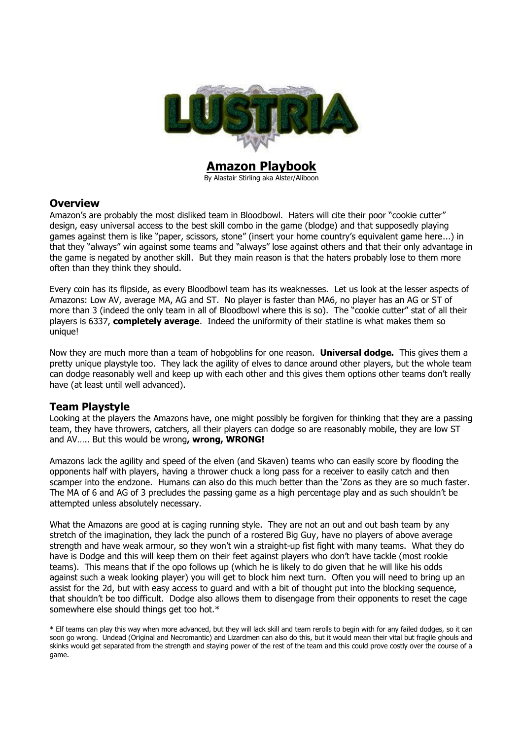

**Amazon Playbook** By Alastair Stirling aka Alster/Aliboon

### **Overview**

Amazon's are probably the most disliked team in Bloodbowl. Haters will cite their poor "cookie cutter" design, easy universal access to the best skill combo in the game (blodge) and that supposedly playing games against them is like "paper, scissors, stone" (insert your home country"s equivalent game here...) in that they "always" win against some teams and "always" lose against others and that their only advantage in the game is negated by another skill. But they main reason is that the haters probably lose to them more often than they think they should.

Every coin has its flipside, as every Bloodbowl team has its weaknesses. Let us look at the lesser aspects of Amazons: Low AV, average MA, AG and ST. No player is faster than MA6, no player has an AG or ST of more than 3 (indeed the only team in all of Bloodbowl where this is so). The "cookie cutter" stat of all their players is 6337, **completely average**. Indeed the uniformity of their statline is what makes them so unique!

Now they are much more than a team of hobgoblins for one reason. **Universal dodge.** This gives them a pretty unique playstyle too. They lack the agility of elves to dance around other players, but the whole team can dodge reasonably well and keep up with each other and this gives them options other teams don"t really have (at least until well advanced).

# **Team Playstyle**

Looking at the players the Amazons have, one might possibly be forgiven for thinking that they are a passing team, they have throwers, catchers, all their players can dodge so are reasonably mobile, they are low ST and AV….. But this would be wrong**, wrong, WRONG!**

Amazons lack the agility and speed of the elven (and Skaven) teams who can easily score by flooding the opponents half with players, having a thrower chuck a long pass for a receiver to easily catch and then scamper into the endzone. Humans can also do this much better than the "Zons as they are so much faster. The MA of 6 and AG of 3 precludes the passing game as a high percentage play and as such shouldn"t be attempted unless absolutely necessary.

What the Amazons are good at is caging running style. They are not an out and out bash team by any stretch of the imagination, they lack the punch of a rostered Big Guy, have no players of above average strength and have weak armour, so they won"t win a straight-up fist fight with many teams. What they do have is Dodge and this will keep them on their feet against players who don"t have tackle (most rookie teams). This means that if the opo follows up (which he is likely to do given that he will like his odds against such a weak looking player) you will get to block him next turn. Often you will need to bring up an assist for the 2d, but with easy access to guard and with a bit of thought put into the blocking sequence, that shouldn"t be too difficult. Dodge also allows them to disengage from their opponents to reset the cage somewhere else should things get too hot.\*

<sup>\*</sup> Elf teams can play this way when more advanced, but they will lack skill and team rerolls to begin with for any failed dodges, so it can soon go wrong. Undead (Original and Necromantic) and Lizardmen can also do this, but it would mean their vital but fragile ghouls and skinks would get separated from the strength and staying power of the rest of the team and this could prove costly over the course of a game.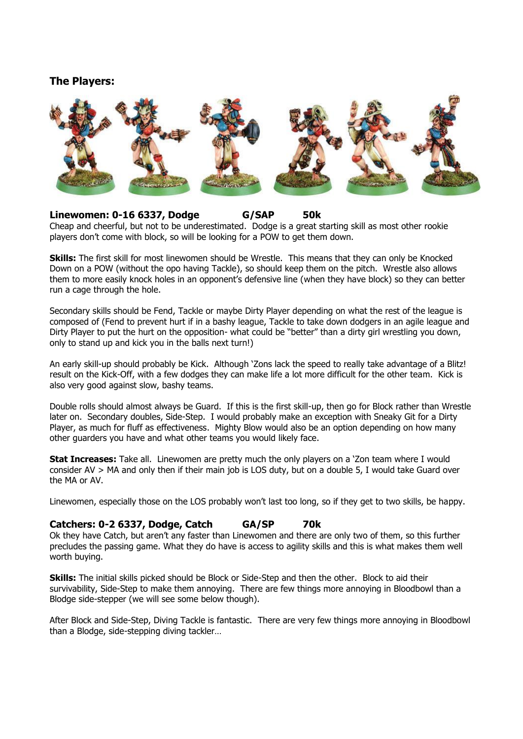# **The Players:**



## **Linewomen: 0-16 6337, Dodge G/SAP 50k**

Cheap and cheerful, but not to be underestimated. Dodge is a great starting skill as most other rookie players don"t come with block, so will be looking for a POW to get them down.

**Skills:** The first skill for most linewomen should be Wrestle. This means that they can only be Knocked Down on a POW (without the opo having Tackle), so should keep them on the pitch. Wrestle also allows them to more easily knock holes in an opponent"s defensive line (when they have block) so they can better run a cage through the hole.

Secondary skills should be Fend, Tackle or maybe Dirty Player depending on what the rest of the league is composed of (Fend to prevent hurt if in a bashy league, Tackle to take down dodgers in an agile league and Dirty Player to put the hurt on the opposition- what could be "better" than a dirty girl wrestling you down, only to stand up and kick you in the balls next turn!)

An early skill-up should probably be Kick. Although "Zons lack the speed to really take advantage of a Blitz! result on the Kick-Off, with a few dodges they can make life a lot more difficult for the other team. Kick is also very good against slow, bashy teams.

Double rolls should almost always be Guard. If this is the first skill-up, then go for Block rather than Wrestle later on. Secondary doubles, Side-Step. I would probably make an exception with Sneaky Git for a Dirty Player, as much for fluff as effectiveness. Mighty Blow would also be an option depending on how many other guarders you have and what other teams you would likely face.

**Stat Increases:** Take all. Linewomen are pretty much the only players on a "Zon team where I would consider AV > MA and only then if their main job is LOS duty, but on a double 5, I would take Guard over the MA or AV.

Linewomen, especially those on the LOS probably won't last too long, so if they get to two skills, be happy.

# **Catchers: 0-2 6337, Dodge, Catch GA/SP 70k**

Ok they have Catch, but aren"t any faster than Linewomen and there are only two of them, so this further precludes the passing game. What they do have is access to agility skills and this is what makes them well worth buying.

**Skills:** The initial skills picked should be Block or Side-Step and then the other. Block to aid their survivability, Side-Step to make them annoying. There are few things more annoying in Bloodbowl than a Blodge side-stepper (we will see some below though).

After Block and Side-Step, Diving Tackle is fantastic. There are very few things more annoying in Bloodbowl than a Blodge, side-stepping diving tackler…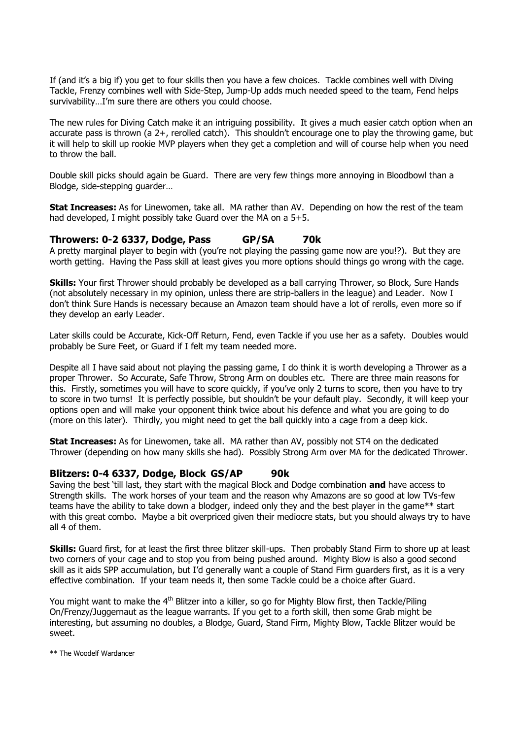If (and it's a big if) you get to four skills then you have a few choices. Tackle combines well with Diving Tackle, Frenzy combines well with Side-Step, Jump-Up adds much needed speed to the team, Fend helps survivability…I"m sure there are others you could choose.

The new rules for Diving Catch make it an intriguing possibility. It gives a much easier catch option when an accurate pass is thrown (a 2+, rerolled catch). This shouldn"t encourage one to play the throwing game, but it will help to skill up rookie MVP players when they get a completion and will of course help when you need to throw the ball.

Double skill picks should again be Guard. There are very few things more annoying in Bloodbowl than a Blodge, side-stepping guarder…

**Stat Increases:** As for Linewomen, take all. MA rather than AV. Depending on how the rest of the team had developed, I might possibly take Guard over the MA on a 5+5.

### **Throwers: 0-2 6337, Dodge, Pass GP/SA 70k**

A pretty marginal player to begin with (you"re not playing the passing game now are you!?). But they are worth getting. Having the Pass skill at least gives you more options should things go wrong with the cage.

**Skills:** Your first Thrower should probably be developed as a ball carrying Thrower, so Block, Sure Hands (not absolutely necessary in my opinion, unless there are strip-ballers in the league) and Leader. Now I don"t think Sure Hands is necessary because an Amazon team should have a lot of rerolls, even more so if they develop an early Leader.

Later skills could be Accurate, Kick-Off Return, Fend, even Tackle if you use her as a safety. Doubles would probably be Sure Feet, or Guard if I felt my team needed more.

Despite all I have said about not playing the passing game, I do think it is worth developing a Thrower as a proper Thrower. So Accurate, Safe Throw, Strong Arm on doubles etc. There are three main reasons for this. Firstly, sometimes you will have to score quickly, if you"ve only 2 turns to score, then you have to try to score in two turns! It is perfectly possible, but shouldn"t be your default play. Secondly, it will keep your options open and will make your opponent think twice about his defence and what you are going to do (more on this later). Thirdly, you might need to get the ball quickly into a cage from a deep kick.

**Stat Increases:** As for Linewomen, take all. MA rather than AV, possibly not ST4 on the dedicated Thrower (depending on how many skills she had). Possibly Strong Arm over MA for the dedicated Thrower.

#### **Blitzers: 0-4 6337, Dodge, Block GS/AP 90k**

Saving the best "till last, they start with the magical Block and Dodge combination **and** have access to Strength skills. The work horses of your team and the reason why Amazons are so good at low TVs-few teams have the ability to take down a blodger, indeed only they and the best player in the game\*\* start with this great combo. Maybe a bit overpriced given their mediocre stats, but you should always try to have all 4 of them.

**Skills:** Guard first, for at least the first three blitzer skill-ups. Then probably Stand Firm to shore up at least two corners of your cage and to stop you from being pushed around. Mighty Blow is also a good second skill as it aids SPP accumulation, but I"d generally want a couple of Stand Firm guarders first, as it is a very effective combination. If your team needs it, then some Tackle could be a choice after Guard.

You might want to make the 4<sup>th</sup> Blitzer into a killer, so go for Mighty Blow first, then Tackle/Piling On/Frenzy/Juggernaut as the league warrants. If you get to a forth skill, then some Grab might be interesting, but assuming no doubles, a Blodge, Guard, Stand Firm, Mighty Blow, Tackle Blitzer would be sweet.

\*\* The Woodelf Wardancer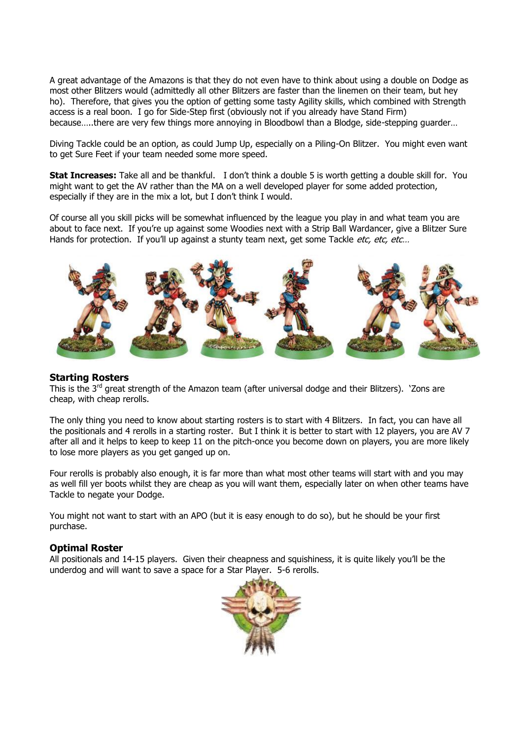A great advantage of the Amazons is that they do not even have to think about using a double on Dodge as most other Blitzers would (admittedly all other Blitzers are faster than the linemen on their team, but hey ho). Therefore, that gives you the option of getting some tasty Agility skills, which combined with Strength access is a real boon. I go for Side-Step first (obviously not if you already have Stand Firm) because…..there are very few things more annoying in Bloodbowl than a Blodge, side-stepping guarder…

Diving Tackle could be an option, as could Jump Up, especially on a Piling-On Blitzer. You might even want to get Sure Feet if your team needed some more speed.

**Stat Increases:** Take all and be thankful. I don't think a double 5 is worth getting a double skill for. You might want to get the AV rather than the MA on a well developed player for some added protection, especially if they are in the mix a lot, but I don't think I would.

Of course all you skill picks will be somewhat influenced by the league you play in and what team you are about to face next. If you"re up against some Woodies next with a Strip Ball Wardancer, give a Blitzer Sure Hands for protection. If you'll up against a stunty team next, get some Tackle *etc, etc, etc...* 



#### **Starting Rosters**

This is the 3<sup>rd</sup> great strength of the Amazon team (after universal dodge and their Blitzers). 'Zons are cheap, with cheap rerolls.

The only thing you need to know about starting rosters is to start with 4 Blitzers. In fact, you can have all the positionals and 4 rerolls in a starting roster. But I think it is better to start with 12 players, you are AV 7 after all and it helps to keep to keep 11 on the pitch-once you become down on players, you are more likely to lose more players as you get ganged up on.

Four rerolls is probably also enough, it is far more than what most other teams will start with and you may as well fill yer boots whilst they are cheap as you will want them, especially later on when other teams have Tackle to negate your Dodge.

You might not want to start with an APO (but it is easy enough to do so), but he should be your first purchase.

#### **Optimal Roster**

All positionals and 14-15 players. Given their cheapness and squishiness, it is quite likely you"ll be the underdog and will want to save a space for a Star Player. 5-6 rerolls.

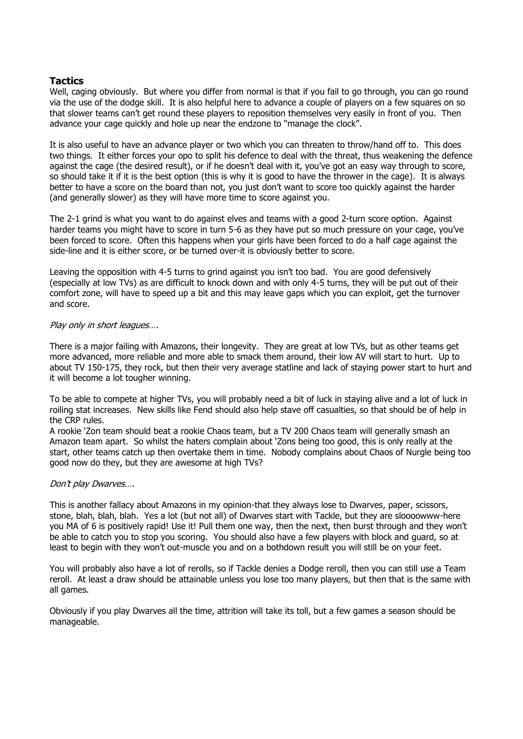### **Tactics**

Well, caging obviously. But where you differ from normal is that if you fail to go through, you can go round via the use of the dodge skill. It is also helpful here to advance a couple of players on a few squares on so that slower teams can't get round these players to reposition themselves very easily in front of you. Then advance your cage quickly and hole up near the endzone to "manage the clock".

It is also useful to have an advance player or two which you can threaten to throw/hand off to. This does two things. It either forces your opo to split his defence to deal with the threat, thus weakening the defence against the cage (the desired result), or if he doesn't deal with it, you've got an easy way through to score, so should take it if it is the best option (this is why it is good to have the thrower in the cage). It is always better to have a score on the board than not, you just don"t want to score too quickly against the harder (and generally slower) as they will have more time to score against you.

The 2-1 grind is what you want to do against elves and teams with a good 2-turn score option. Against harder teams you might have to score in turn 5-6 as they have put so much pressure on your cage, you"ve been forced to score. Often this happens when your girls have been forced to do a half cage against the side-line and it is either score, or be turned over-it is obviously better to score.

Leaving the opposition with 4-5 turns to grind against you isn"t too bad. You are good defensively (especially at low TVs) as are difficult to knock down and with only 4-5 turns, they will be put out of their comfort zone, will have to speed up a bit and this may leave gaps which you can exploit, get the turnover and score.

#### Play only in short leagues….

There is a major failing with Amazons, their longevity. They are great at low TVs, but as other teams get more advanced, more reliable and more able to smack them around, their low AV will start to hurt. Up to about TV 150-175, they rock, but then their very average statline and lack of staying power start to hurt and it will become a lot tougher winning.

To be able to compete at higher TVs, you will probably need a bit of luck in staying alive and a lot of luck in roiling stat increases. New skills like Fend should also help stave off casualties, so that should be of help in the CRP rules.

A rookie "Zon team should beat a rookie Chaos team, but a TV 200 Chaos team will generally smash an Amazon team apart. So whilst the haters complain about "Zons being too good, this is only really at the start, other teams catch up then overtake them in time. Nobody complains about Chaos of Nurgle being too good now do they, but they are awesome at high TVs?

#### Don"t play Dwarves….

This is another fallacy about Amazons in my opinion-that they always lose to Dwarves, paper, scissors, stone, blah, blah, blah. Yes a lot (but not all) of Dwarves start with Tackle, but they are sloooowww-here you MA of 6 is positively rapid! Use it! Pull them one way, then the next, then burst through and they won"t be able to catch you to stop you scoring. You should also have a few players with block and guard, so at least to begin with they won't out-muscle you and on a bothdown result you will still be on your feet.

You will probably also have a lot of rerolls, so if Tackle denies a Dodge reroll, then you can still use a Team reroll. At least a draw should be attainable unless you lose too many players, but then that is the same with all games.

Obviously if you play Dwarves all the time, attrition will take its toll, but a few games a season should be manageable.